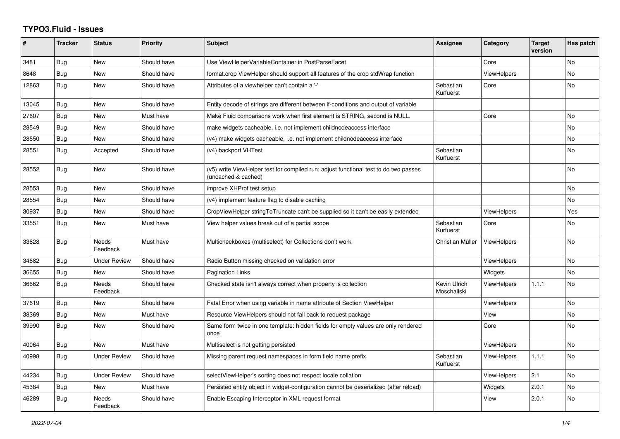## **TYPO3.Fluid - Issues**

| #     | <b>Tracker</b> | <b>Status</b>            | <b>Priority</b> | <b>Subject</b>                                                                                              | Assignee                    | Category           | <b>Target</b><br>version | Has patch |
|-------|----------------|--------------------------|-----------------|-------------------------------------------------------------------------------------------------------------|-----------------------------|--------------------|--------------------------|-----------|
| 3481  | <b>Bug</b>     | New                      | Should have     | Use ViewHelperVariableContainer in PostParseFacet                                                           |                             | Core               |                          | No        |
| 8648  | Bug            | New                      | Should have     | format.crop ViewHelper should support all features of the crop stdWrap function                             |                             | <b>ViewHelpers</b> |                          | <b>No</b> |
| 12863 | Bug            | New                      | Should have     | Attributes of a viewhelper can't contain a '-'                                                              | Sebastian<br>Kurfuerst      | Core               |                          | <b>No</b> |
| 13045 | Bug            | New                      | Should have     | Entity decode of strings are different between if-conditions and output of variable                         |                             |                    |                          |           |
| 27607 | Bug            | New                      | Must have       | Make Fluid comparisons work when first element is STRING, second is NULL.                                   |                             | Core               |                          | No        |
| 28549 | <b>Bug</b>     | New                      | Should have     | make widgets cacheable, i.e. not implement childnodeaccess interface                                        |                             |                    |                          | <b>No</b> |
| 28550 | Bug            | New                      | Should have     | (v4) make widgets cacheable, i.e. not implement childnodeaccess interface                                   |                             |                    |                          | No        |
| 28551 | Bug            | Accepted                 | Should have     | (v4) backport VHTest                                                                                        | Sebastian<br>Kurfuerst      |                    |                          | <b>No</b> |
| 28552 | <b>Bug</b>     | New                      | Should have     | (v5) write ViewHelper test for compiled run; adjust functional test to do two passes<br>(uncached & cached) |                             |                    |                          | <b>No</b> |
| 28553 | Bug            | New                      | Should have     | improve XHProf test setup                                                                                   |                             |                    |                          | <b>No</b> |
| 28554 | <b>Bug</b>     | New                      | Should have     | (v4) implement feature flag to disable caching                                                              |                             |                    |                          | No        |
| 30937 | Bug            | <b>New</b>               | Should have     | CropViewHelper stringToTruncate can't be supplied so it can't be easily extended                            |                             | <b>ViewHelpers</b> |                          | Yes       |
| 33551 | Bug            | New                      | Must have       | View helper values break out of a partial scope                                                             | Sebastian<br>Kurfuerst      | Core               |                          | No        |
| 33628 | <b>Bug</b>     | Needs<br>Feedback        | Must have       | Multicheckboxes (multiselect) for Collections don't work                                                    | Christian Müller            | <b>ViewHelpers</b> |                          | <b>No</b> |
| 34682 | Bug            | <b>Under Review</b>      | Should have     | Radio Button missing checked on validation error                                                            |                             | <b>ViewHelpers</b> |                          | <b>No</b> |
| 36655 | Bug            | <b>New</b>               | Should have     | Pagination Links                                                                                            |                             | Widgets            |                          | <b>No</b> |
| 36662 | <b>Bug</b>     | <b>Needs</b><br>Feedback | Should have     | Checked state isn't always correct when property is collection                                              | Kevin Ulrich<br>Moschallski | <b>ViewHelpers</b> | 1.1.1                    | <b>No</b> |
| 37619 | Bug            | <b>New</b>               | Should have     | Fatal Error when using variable in name attribute of Section ViewHelper                                     |                             | <b>ViewHelpers</b> |                          | <b>No</b> |
| 38369 | Bug            | <b>New</b>               | Must have       | Resource ViewHelpers should not fall back to request package                                                |                             | View               |                          | <b>No</b> |
| 39990 | Bug            | New                      | Should have     | Same form twice in one template: hidden fields for empty values are only rendered<br>once                   |                             | Core               |                          | No        |
| 40064 | Bug            | <b>New</b>               | Must have       | Multiselect is not getting persisted                                                                        |                             | <b>ViewHelpers</b> |                          | <b>No</b> |
| 40998 | Bug            | Under Review             | Should have     | Missing parent request namespaces in form field name prefix                                                 | Sebastian<br>Kurfuerst      | ViewHelpers        | 1.1.1                    | <b>No</b> |
| 44234 | Bug            | <b>Under Review</b>      | Should have     | selectViewHelper's sorting does not respect locale collation                                                |                             | <b>ViewHelpers</b> | 2.1                      | <b>No</b> |
| 45384 | <b>Bug</b>     | New                      | Must have       | Persisted entity object in widget-configuration cannot be deserialized (after reload)                       |                             | Widgets            | 2.0.1                    | No        |
| 46289 | Bug            | Needs<br>Feedback        | Should have     | Enable Escaping Interceptor in XML request format                                                           |                             | View               | 2.0.1                    | <b>No</b> |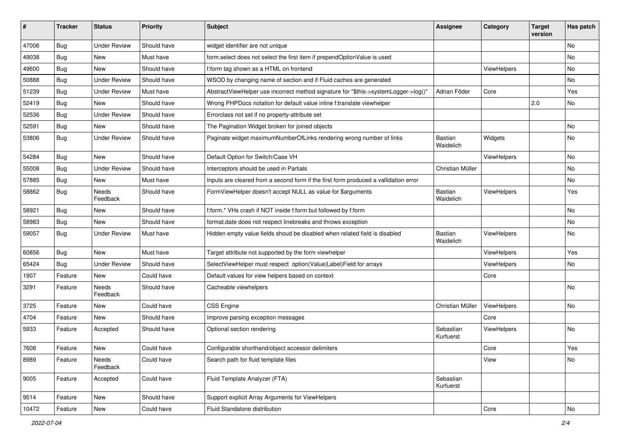| ∦     | <b>Tracker</b> | <b>Status</b>            | <b>Priority</b> | <b>Subject</b>                                                                       | <b>Assignee</b>        | Category    | <b>Target</b><br>version | Has patch |
|-------|----------------|--------------------------|-----------------|--------------------------------------------------------------------------------------|------------------------|-------------|--------------------------|-----------|
| 47006 | Bug            | <b>Under Review</b>      | Should have     | widget identifier are not unique                                                     |                        |             |                          | No        |
| 49038 | Bug            | New                      | Must have       | form.select does not select the first item if prependOptionValue is used             |                        |             |                          | No        |
| 49600 | Bug            | New                      | Should have     | f:form tag shown as a HTML on frontend                                               |                        | ViewHelpers |                          | No        |
| 50888 | Bug            | <b>Under Review</b>      | Should have     | WSOD by changing name of section and if Fluid caches are generated                   |                        |             |                          | No        |
| 51239 | <b>Bug</b>     | <b>Under Review</b>      | Must have       | AbstractViewHelper use incorrect method signature for "\$this->systemLogger->log()"  | Adrian Föder           | Core        |                          | Yes       |
| 52419 | Bug            | <b>New</b>               | Should have     | Wrong PHPDocs notation for default value inline f:translate viewhelper               |                        |             | 2.0                      | No        |
| 52536 | Bug            | <b>Under Review</b>      | Should have     | Errorclass not set if no property-attribute set                                      |                        |             |                          |           |
| 52591 | Bug            | New                      | Should have     | The Pagination Widget broken for joined objects                                      |                        |             |                          | No.       |
| 53806 | Bug            | <b>Under Review</b>      | Should have     | Paginate widget maximumNumberOfLinks rendering wrong number of links                 | Bastian<br>Waidelich   | Widgets     |                          | No        |
| 54284 | Bug            | <b>New</b>               | Should have     | Default Option for Switch/Case VH                                                    |                        | ViewHelpers |                          | No        |
| 55008 | Bug            | <b>Under Review</b>      | Should have     | Interceptors should be used in Partials                                              | Christian Müller       |             |                          | No        |
| 57885 | Bug            | New                      | Must have       | Inputs are cleared from a second form if the first form produced a vallidation error |                        |             |                          | No        |
| 58862 | Bug            | <b>Needs</b><br>Feedback | Should have     | FormViewHelper doesn't accept NULL as value for \$arguments                          | Bastian<br>Waidelich   | ViewHelpers |                          | Yes       |
| 58921 | Bug            | New                      | Should have     | f:form.* VHs crash if NOT inside f:form but followed by f:form                       |                        |             |                          | <b>No</b> |
| 58983 | Bug            | New                      | Should have     | format.date does not respect linebreaks and throws exception                         |                        |             |                          | No        |
| 59057 | <b>Bug</b>     | <b>Under Review</b>      | Must have       | Hidden empty value fields shoud be disabled when related field is disabled           | Bastian<br>Waidelich   | ViewHelpers |                          | No        |
| 60856 | Bug            | <b>New</b>               | Must have       | Target attribute not supported by the form viewhelper                                |                        | ViewHelpers |                          | Yes       |
| 65424 | Bug            | <b>Under Review</b>      | Should have     | SelectViewHelper must respect option(Value Label)Field for arrays                    |                        | ViewHelpers |                          | No        |
| 1907  | Feature        | New                      | Could have      | Default values for view helpers based on context                                     |                        | Core        |                          |           |
| 3291  | Feature        | Needs<br>Feedback        | Should have     | Cacheable viewhelpers                                                                |                        |             |                          | No        |
| 3725  | Feature        | New                      | Could have      | <b>CSS Engine</b>                                                                    | Christian Müller       | ViewHelpers |                          | No        |
| 4704  | Feature        | New                      | Should have     | Improve parsing exception messages                                                   |                        | Core        |                          |           |
| 5933  | Feature        | Accepted                 | Should have     | Optional section rendering                                                           | Sebastian<br>Kurfuerst | ViewHelpers |                          | No        |
| 7608  | Feature        | New                      | Could have      | Configurable shorthand/object accessor delimiters                                    |                        | Core        |                          | Yes       |
| 8989  | Feature        | Needs<br>Feedback        | Could have      | Search path for fluid template files                                                 |                        | View        |                          | No        |
| 9005  | Feature        | Accepted                 | Could have      | Fluid Template Analyzer (FTA)                                                        | Sebastian<br>Kurfuerst |             |                          |           |
| 9514  | Feature        | New                      | Should have     | Support explicit Array Arguments for ViewHelpers                                     |                        |             |                          |           |
| 10472 | Feature        | New                      | Could have      | Fluid Standalone distribution                                                        |                        | Core        |                          | No        |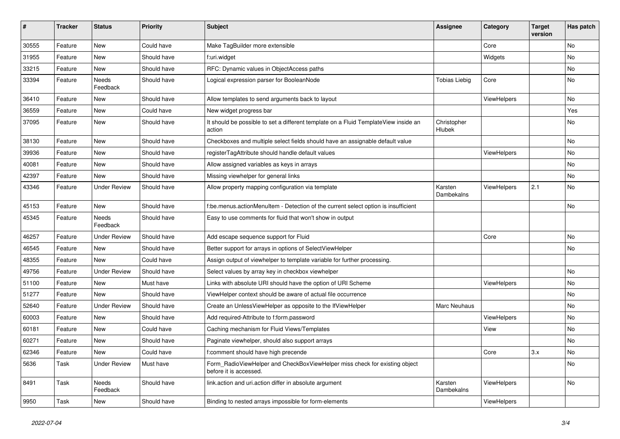| $\#$  | <b>Tracker</b> | <b>Status</b>       | <b>Priority</b> | <b>Subject</b>                                                                                       | <b>Assignee</b>       | Category    | <b>Target</b><br>version | Has patch |
|-------|----------------|---------------------|-----------------|------------------------------------------------------------------------------------------------------|-----------------------|-------------|--------------------------|-----------|
| 30555 | Feature        | New                 | Could have      | Make TagBuilder more extensible                                                                      |                       | Core        |                          | <b>No</b> |
| 31955 | Feature        | New                 | Should have     | f:uri.widget                                                                                         |                       | Widgets     |                          | No        |
| 33215 | Feature        | New                 | Should have     | RFC: Dynamic values in ObjectAccess paths                                                            |                       |             |                          | No        |
| 33394 | Feature        | Needs<br>Feedback   | Should have     | Logical expression parser for BooleanNode                                                            | <b>Tobias Liebig</b>  | Core        |                          | No        |
| 36410 | Feature        | New                 | Should have     | Allow templates to send arguments back to layout                                                     |                       | ViewHelpers |                          | No        |
| 36559 | Feature        | New                 | Could have      | New widget progress bar                                                                              |                       |             |                          | Yes       |
| 37095 | Feature        | New                 | Should have     | It should be possible to set a different template on a Fluid TemplateView inside an<br>action        | Christopher<br>Hlubek |             |                          | No        |
| 38130 | Feature        | New                 | Should have     | Checkboxes and multiple select fields should have an assignable default value                        |                       |             |                          | No        |
| 39936 | Feature        | New                 | Should have     | registerTagAttribute should handle default values                                                    |                       | ViewHelpers |                          | No        |
| 40081 | Feature        | New                 | Should have     | Allow assigned variables as keys in arrays                                                           |                       |             |                          | No        |
| 42397 | Feature        | New                 | Should have     | Missing viewhelper for general links                                                                 |                       |             |                          | No        |
| 43346 | Feature        | <b>Under Review</b> | Should have     | Allow property mapping configuration via template                                                    | Karsten<br>Dambekalns | ViewHelpers | 2.1                      | No        |
| 45153 | Feature        | New                 | Should have     | f:be.menus.actionMenuItem - Detection of the current select option is insufficient                   |                       |             |                          | No        |
| 45345 | Feature        | Needs<br>Feedback   | Should have     | Easy to use comments for fluid that won't show in output                                             |                       |             |                          |           |
| 46257 | Feature        | <b>Under Review</b> | Should have     | Add escape sequence support for Fluid                                                                |                       | Core        |                          | No        |
| 46545 | Feature        | New                 | Should have     | Better support for arrays in options of SelectViewHelper                                             |                       |             |                          | No        |
| 48355 | Feature        | New                 | Could have      | Assign output of viewhelper to template variable for further processing.                             |                       |             |                          |           |
| 49756 | Feature        | <b>Under Review</b> | Should have     | Select values by array key in checkbox viewhelper                                                    |                       |             |                          | No        |
| 51100 | Feature        | New                 | Must have       | Links with absolute URI should have the option of URI Scheme                                         |                       | ViewHelpers |                          | No        |
| 51277 | Feature        | New                 | Should have     | ViewHelper context should be aware of actual file occurrence                                         |                       |             |                          | No        |
| 52640 | Feature        | <b>Under Review</b> | Should have     | Create an UnlessViewHelper as opposite to the IfViewHelper                                           | Marc Neuhaus          |             |                          | No        |
| 60003 | Feature        | New                 | Should have     | Add required-Attribute to f:form.password                                                            |                       | ViewHelpers |                          | No        |
| 60181 | Feature        | New                 | Could have      | Caching mechanism for Fluid Views/Templates                                                          |                       | View        |                          | No        |
| 60271 | Feature        | New                 | Should have     | Paginate viewhelper, should also support arrays                                                      |                       |             |                          | No        |
| 62346 | Feature        | New                 | Could have      | f:comment should have high precende                                                                  |                       | Core        | 3.x                      | No        |
| 5636  | Task           | <b>Under Review</b> | Must have       | Form_RadioViewHelper and CheckBoxViewHelper miss check for existing object<br>before it is accessed. |                       |             |                          | No        |
| 8491  | Task           | Needs<br>Feedback   | Should have     | link.action and uri.action differ in absolute argument                                               | Karsten<br>Dambekalns | ViewHelpers |                          | No        |
| 9950  | Task           | New                 | Should have     | Binding to nested arrays impossible for form-elements                                                |                       | ViewHelpers |                          |           |